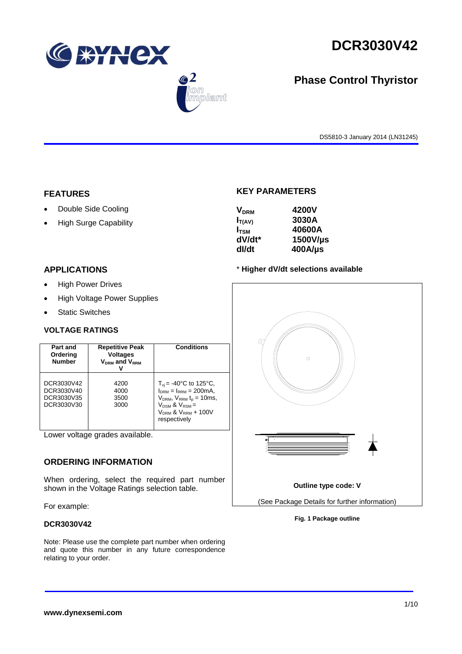

 $\bigcirc$  2

lant



# **Phase Control Thyristor**

DS5810-3 January 2014 (LN31245)

### **FEATURES**

- Double Side Cooling
- High Surge Capability

# **KEY PARAMETERS**

| <b>V<sub>DRM</sub></b> | 4200V      |
|------------------------|------------|
| $I_{T(AV)}$            | 3030A      |
| $I_{\text{TSM}}$       | 40600A     |
| dV/dt*                 | 1500V/µs   |
| dl/dt                  | $400$ A/µs |

# **APPLICATIONS**

- High Power Drives
- High Voltage Power Supplies
- Static Switches

# **VOLTAGE RATINGS**

| Part and<br>Ordering<br><b>Number</b>                | <b>Repetitive Peak</b><br><b>Voltages</b><br>V <sub>DRM</sub> and V <sub>RRM</sub> | <b>Conditions</b>                                                                                                                                                                           |
|------------------------------------------------------|------------------------------------------------------------------------------------|---------------------------------------------------------------------------------------------------------------------------------------------------------------------------------------------|
| DCR3030V42<br>DCR3030V40<br>DCR3030V35<br>DCR3030V30 | 4200<br>4000<br>3500<br>3000                                                       | $T_{\rm vi}$ = -40°C to 125°C,<br>$I_{DRM} = I_{RRM} = 200 \text{mA}$ ,<br>$V_{DRM}$ , $V_{RRM}$ $t_{p}$ = 10ms,<br>$V_{DSM}$ & $V_{RSM}$ =<br>$V_{DRM}$ & $V_{RRM}$ + 100V<br>respectively |

Lower voltage grades available.

# **ORDERING INFORMATION**

When ordering, select the required part number shown in the Voltage Ratings selection table.

For example:

# **DCR3030V42**

Note: Please use the complete part number when ordering and quote this number in any future correspondence relating to your order.





**Fig. 1 Package outline**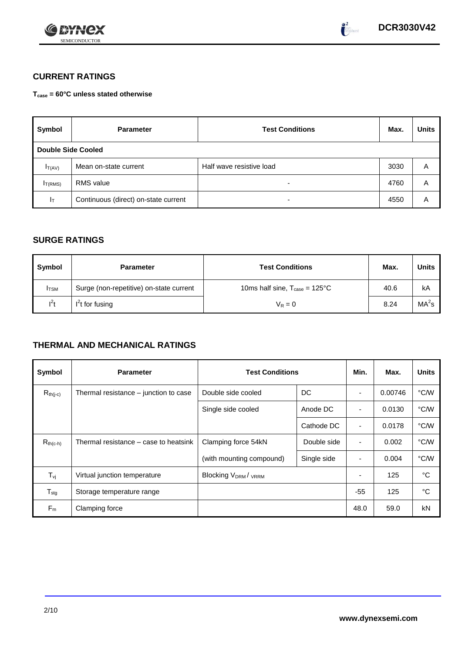



# **CURRENT RATINGS**

**Tcase = 60°C unless stated otherwise**

| Symbol              | <b>Parameter</b>                     | <b>Test Conditions</b>   | Max. | <b>Units</b> |
|---------------------|--------------------------------------|--------------------------|------|--------------|
| Double Side Cooled  |                                      |                          |      |              |
| $I_{T(AV)}$         | Mean on-state current                | Half wave resistive load | 3030 | A            |
| I <sub>T(RMS)</sub> | <b>RMS</b> value                     | -                        | 4760 | Α            |
| Iτ                  | Continuous (direct) on-state current | $\overline{\phantom{0}}$ | 4550 | Α            |

# **SURGE RATINGS**

| Symbol      | <b>Parameter</b>                        | <b>Test Conditions</b>                            | Max. | Units             |
|-------------|-----------------------------------------|---------------------------------------------------|------|-------------------|
| <b>ITSM</b> | Surge (non-repetitive) on-state current | 10ms half sine, $T_{\text{case}} = 125^{\circ}$ C | 40.6 | kA                |
| $l^2t$      | $I2t$ for fusing                        | $V_R = 0$                                         | 8.24 | MA <sup>2</sup> s |

# **THERMAL AND MECHANICAL RATINGS**

| Symbol                         | <b>Parameter</b>                      | <b>Test Conditions</b>                      | Min.        | Max.           | <b>Units</b> |      |
|--------------------------------|---------------------------------------|---------------------------------------------|-------------|----------------|--------------|------|
| $R_{th(j-c)}$                  | Thermal resistance – junction to case | Double side cooled                          | DC          |                | 0.00746      | °C/W |
|                                |                                       | Single side cooled                          | Anode DC    | ٠              | 0.0130       | °C/W |
|                                |                                       |                                             | Cathode DC  | $\blacksquare$ | 0.0178       | °C/W |
| $R_{th(c-h)}$                  | Thermal resistance – case to heatsink | Clamping force 54kN<br>Double side          |             | ٠              | 0.002        | °C/W |
|                                |                                       | (with mounting compound)                    | Single side |                | 0.004        | °C/W |
| $T_{\rm\scriptscriptstyle VI}$ | Virtual junction temperature          | Blocking V <sub>DRM</sub> / <sub>VRRM</sub> |             |                | 125          | °C   |
| $T_{\text{stg}}$               | Storage temperature range             |                                             |             | $-55$          | 125          | °C   |
| $F_m$                          | Clamping force                        |                                             |             | 48.0           | 59.0         | kN   |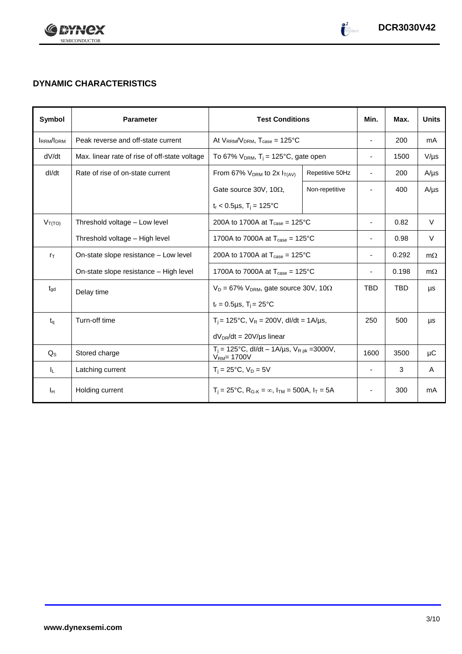

# **DYNAMIC CHARACTERISTICS**

| Symbol           | <b>Parameter</b>                              | <b>Test Conditions</b>                                                                          |                                                     | Min.                     | Max.       | <b>Units</b> |
|------------------|-----------------------------------------------|-------------------------------------------------------------------------------------------------|-----------------------------------------------------|--------------------------|------------|--------------|
| <b>IRRM/IDRM</b> | Peak reverse and off-state current            | At $V_{RRM}/V_{DRM}$ , $T_{case} = 125^{\circ}C$                                                |                                                     | $\overline{\phantom{a}}$ | 200        | mA           |
| dV/dt            | Max. linear rate of rise of off-state voltage | To 67% $V_{DRM}$ , T <sub>i</sub> = 125°C, gate open                                            |                                                     | $\blacksquare$           | 1500       | $V/\mu s$    |
| dl/dt            | Rate of rise of on-state current              | From 67% $V_{DRM}$ to 2x $I_{T(AV)}$                                                            | Repetitive 50Hz                                     | $\blacksquare$           | 200        | $A/\mu s$    |
|                  |                                               | Gate source 30V, 10 $\Omega$ ,                                                                  | Non-repetitive                                      |                          | 400        | $A/\mu s$    |
|                  |                                               | $t_r$ < 0.5µs, T <sub>i</sub> = 125°C                                                           |                                                     |                          |            |              |
| $V_{T(TO)}$      | Threshold voltage - Low level                 | 200A to 1700A at $T_{\text{case}} = 125^{\circ}C$                                               |                                                     | $\overline{\phantom{a}}$ | 0.82       | $\vee$       |
|                  | Threshold voltage - High level                |                                                                                                 | 1700A to 7000A at $T_{\text{case}} = 125^{\circ}$ C |                          | 0.98       | V            |
| $r_{\text{T}}$   | On-state slope resistance – Low level         | 200A to 1700A at $T_{\text{case}} = 125^{\circ}\text{C}$                                        |                                                     |                          | 0.292      | $m\Omega$    |
|                  | On-state slope resistance - High level        | 1700A to 7000A at $T_{\text{case}} = 125^{\circ}$ C                                             |                                                     |                          | 0.198      | $m\Omega$    |
| $t_{\text{qd}}$  | Delay time                                    | $V_D = 67\% V_{DRM}$ , gate source 30V, 10 $\Omega$                                             |                                                     | <b>TBD</b>               | <b>TBD</b> | μs           |
|                  |                                               | $t_r = 0.5 \mu s$ , $T_i = 25^{\circ}C$                                                         |                                                     |                          |            |              |
| $t_{q}$          | Turn-off time                                 | $T_i$ = 125°C, $V_R$ = 200V, dl/dt = 1A/µs,                                                     |                                                     | 250                      | 500        | μs           |
|                  |                                               | $dV_{DR}/dt = 20V/\mu s$ linear                                                                 |                                                     |                          |            |              |
| $Q_{\rm S}$      | Stored charge                                 | $T_i = 125^{\circ}C$ , dl/dt – 1A/µs, $V_{R\,pk} = 3000V$ ,<br>$VRM = 1700V$                    |                                                     | 1600                     | 3500       | μC           |
| IL.              | Latching current                              | $T_i = 25^{\circ}C$ , $V_D = 5V$                                                                |                                                     | $\overline{\phantom{a}}$ | 3          | A            |
| Iн               | Holding current                               | $T_i = 25^{\circ}C$ , R <sub>G-K</sub> = $\infty$ , I <sub>TM</sub> = 500A, I <sub>T</sub> = 5A |                                                     | ٠                        | 300        | mA           |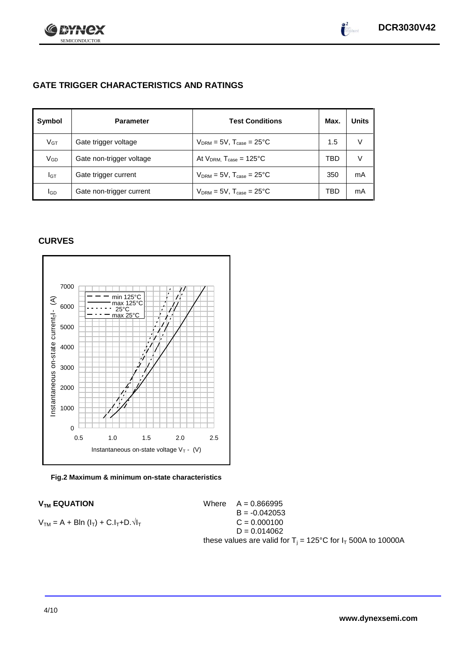

# **GATE TRIGGER CHARACTERISTICS AND RATINGS**

| Symbol          | <b>Parameter</b>         | <b>Test Conditions</b>                    | Max. | <b>Units</b> |
|-----------------|--------------------------|-------------------------------------------|------|--------------|
| V <sub>GT</sub> | Gate trigger voltage     | $V_{DRM} = 5V$ , $T_{case} = 25^{\circ}C$ | 1.5  | V            |
| VGD             | Gate non-trigger voltage | At $V_{DRM}$ , $T_{case} = 125^{\circ}C$  | TBD  | V            |
| IGТ             | Gate trigger current     | $V_{DRM}$ = 5V, $T_{case}$ = 25°C         | 350  | mA           |
| lgp             | Gate non-trigger current | $V_{DRM}$ = 5V, $T_{case}$ = 25°C         | TBD  | mA           |

# **CURVES**





 $V_{TM}$  **EQUATION** Where  $A = 0.866995$  $B = -0.042053$  $V_{TM} = A + B\ln(I_T) + C.I_T + D.\sqrt{I_T}$  C = 0.000100  $D = 0.014062$ these values are valid for  $T_i = 125^{\circ}C$  for  $I_T$  500A to 10000A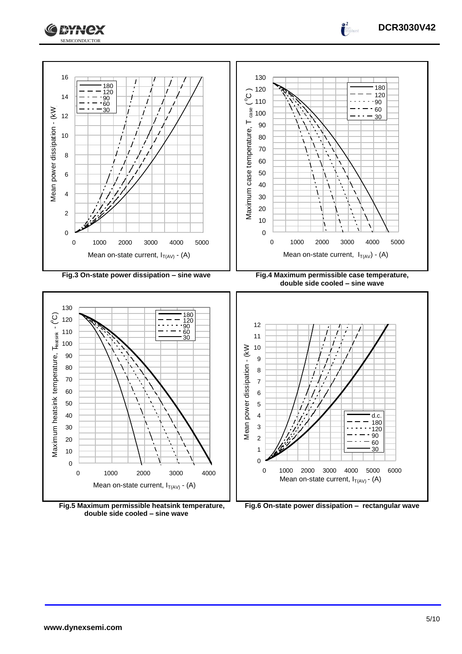



Mean on-state current,  $I_{T(A\vee)}$  - (A)

**Fig.5 Maximum permissible heatsink temperature, double side cooled – sine wave**

1000 2000 3000 4000

Mean on-state current,  $I_{T(AV)}$  - (A)

**Fig.6 On-state power dissipation – rectangular wave**

**DCR3030V42**

 $\int_0^2$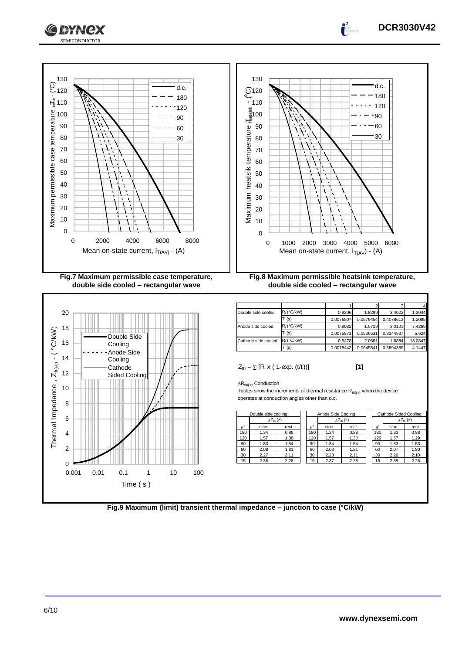







| Double side cooled  | $R_i$ (°C/kW) | 0.9206    | 1.8299    | 3.4022    | 1.3044  |
|---------------------|---------------|-----------|-----------|-----------|---------|
|                     | $T_i$ (s)     | 0.0076807 | 0.0579454 | 0.4078613 | 1.2085  |
| Anode side cooled   | R. (°C/kW)    | 0.9032    | 1.6719    | 3.0101    | 7.4269  |
|                     | $T_i$ (s)     | 0.0075871 | 0.0536531 | 0.3144537 | 5.624   |
| Cathode side cooled | $R_i$ (°C/kW) | 0.9478    | 2.0661    | 1.6884    | 13.0847 |
|                     | $T_i$ (s)     | 0.0078442 | 0.0645541 | 0.3894389 | 4.1447  |

 $Z_{\text{th}} = \sum [R_i \times (1 - \exp. (t/t_i))]$  [1]

 $\Delta R_{th(i-c)}$  Conduction

Tables show the increments of thermal resistance  $R_{th(j-c)}$  when the device operates at conduction angles other than d.c.

|                  | Double side cooling  |       |                  | Anode Side Cooling |       |                     | Cathode Sided Cooling |             |       |                     |
|------------------|----------------------|-------|------------------|--------------------|-------|---------------------|-----------------------|-------------|-------|---------------------|
|                  | $\Lambda Z_{th}$ (z) |       |                  |                    |       | $\wedge Z_{th}$ (z) |                       |             |       | $\Delta Z_{th}$ (z) |
| $\theta^{\circ}$ | sine.                | rect. | $\theta^{\circ}$ |                    | sine. | rect.               |                       | $A^{\circ}$ | sine. | rect.               |
| 180              | 1.34                 | 0.88  | 180              |                    | 1.34  | 0.88                |                       | 180         | 1.33  | 0.88                |
| 120              | 1.57                 | 1.30  | 120              |                    | 1.57  | 1.30                |                       | 120         | 1.57  | 1.29                |
| 90               | 1.83                 | 1.54  | 90               |                    | 1.84  | 1.54                |                       | 90          | 1.83  | 1.53                |
| 60               | 2.08                 | 1.81  | 60               |                    | 2.08  | 1.81                |                       | 60          | 2.07  | 1.80                |
| 30               | 2.27                 | 2.11  | 30               |                    | 2.28  | 2.11                |                       | 30          | 2.26  | 2.10                |
| 15               | 2.36                 | 2.28  | 15               |                    | 2.37  | 2.28                |                       | 15          | 2.35  | 2.26                |
|                  |                      |       |                  |                    |       |                     |                       |             |       |                     |

| Cathode Sided Cooling |                     |       |  |  |
|-----------------------|---------------------|-------|--|--|
|                       | $\wedge Z_{th}$ (z) |       |  |  |
| $\theta$              | sine.               | rect. |  |  |
| 180                   | 1.33                | 0.88  |  |  |
| 120                   | 1.57                | 1.29  |  |  |
| 90                    | 1.83                | 1.53  |  |  |
| 60                    | 2.07                | 1.80  |  |  |
| 30                    | 2.26                | 2.10  |  |  |
| 15                    | 2.35                | 2.26  |  |  |
|                       |                     |       |  |  |

**Fig.9 Maximum (limit) transient thermal impedance – junction to case (°C/kW)**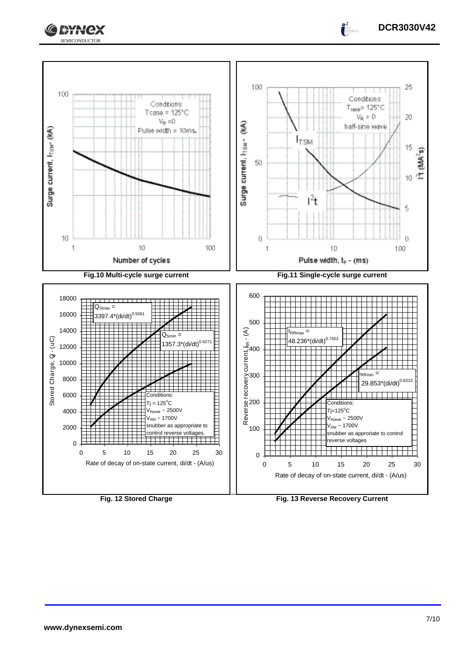

 $100$ 

Surge current, I<sub>TBM</sub> (MA)





**Fig. 12 Stored Charge Fig. 13 Reverse Recovery Current**

 $\sim$  2500V /<sub>РМ</sub> ~ 1700V

reverse voltages

snubber as approriate to control

0

2000

4000

6000 8000

10000

Store Charge, Quinter Contractor Contractor Contractor Contractor Contractor Contractor Contractor C

Stored Charge, Q - (uC)

12000 14000

16000 18000

 $\uparrow$  ()

1

**DCR3030V42**

 $\int_0^2$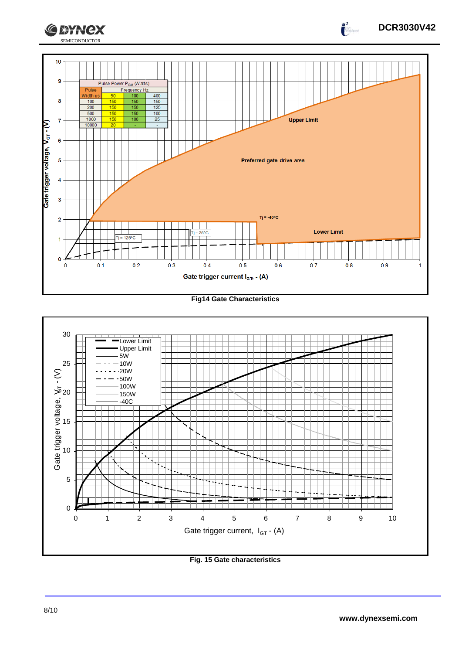

**Fig14 Gate Characteristics**



**Fig. 15 Gate characteristics**

**DCR3030V42**

 $\int_{0}^{2}$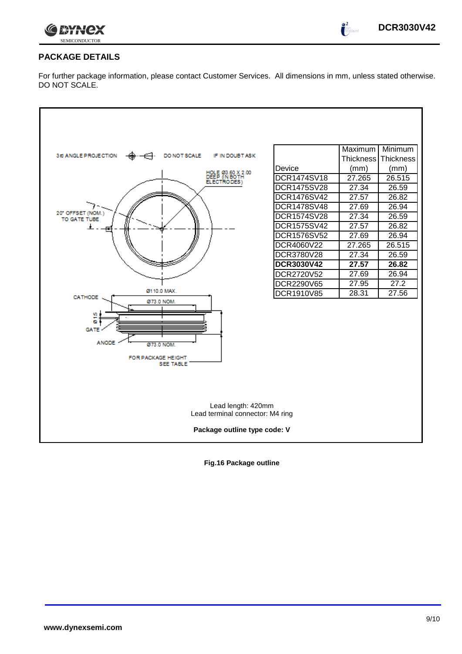

 $\int_0^2$ 

# **PACKAGE DETAILS**

For further package information, please contact Customer Services. All dimensions in mm, unless stated otherwise. DO NOT SCALE.



**Fig.16 Package outline**